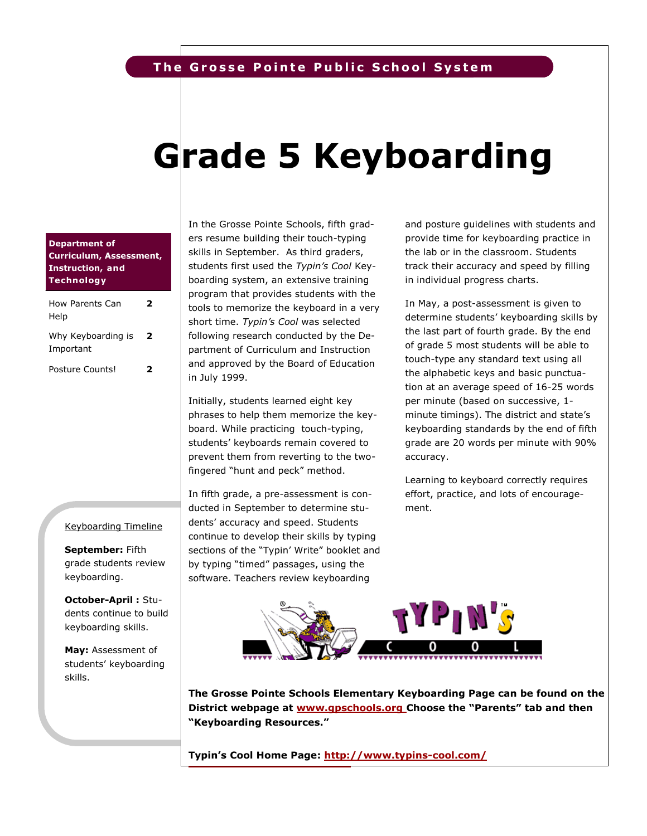# **The Grosse Pointe Public School System**

# **Grade 5 Keyboarding**

### **Department of Curriculum, Assessment, Instruction, and Technology**

| How Parents Can<br>Help         | 7 |
|---------------------------------|---|
| Why Keyboarding is<br>Important | 2 |
| Posture Counts!                 | 7 |

In the Grosse Pointe Schools, fifth graders resume building their touch-typing skills in September. As third graders, students first used the *Typin's Cool* Keyboarding system, an extensive training program that provides students with the tools to memorize the keyboard in a very short time. *Typin's Cool* was selected following research conducted by the Department of Curriculum and Instruction and approved by the Board of Education in July 1999.

Initially, students learned eight key phrases to help them memorize the keyboard. While practicing touch-typing, students' keyboards remain covered to prevent them from reverting to the twofingered "hunt and peck" method.

In fifth grade, a pre-assessment is conducted in September to determine students' accuracy and speed. Students continue to develop their skills by typing sections of the "Typin' Write" booklet and by typing "timed" passages, using the software. Teachers review keyboarding

and posture guidelines with students and provide time for keyboarding practice in the lab or in the classroom. Students track their accuracy and speed by filling in individual progress charts.

In May, a post-assessment is given to determine students' keyboarding skills by the last part of fourth grade. By the end of grade 5 most students will be able to touch-type any standard text using all the alphabetic keys and basic punctuation at an average speed of 16-25 words per minute (based on successive, 1 minute timings). The district and state's keyboarding standards by the end of fifth grade are 20 words per minute with 90% accuracy.

Learning to keyboard correctly requires effort, practice, and lots of encouragement.

#### Keyboarding Timeline

**September:** Fifth grade students review keyboarding.

**October-April :** Students continue to build keyboarding skills.

**May:** Assessment of students' keyboarding skills.



**Grosse Pointe Schools' Elementary Keyboarding Page The Grosse Pointe Schools Elementary Keyboarding Page can be found on the <http://www.gpschools.org/ci/ce/elem/elcom/keyboarding.htm> District webpage at [www.gpschools.org](http://www.gpschools.org) Choose the "Parents" tab and then "Keyboarding Resources."**

**<http://www.typins-cool.com/> Typin's Cool Home Page: <http://www.typins-cool.com/>**